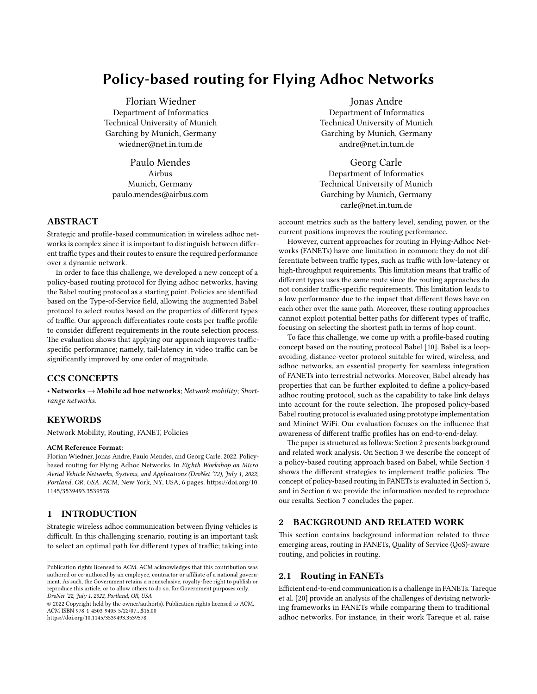# Policy-based routing for Flying Adhoc Networks

[Florian Wiedner](https://orcid.org/0000-0003-2471-9864) Department of Informatics Technical University of Munich Garching by Munich, Germany wiedner@net.in.tum.de

Paulo Mendes Airbus Munich, Germany paulo.mendes@airbus.com

# ABSTRACT

Strategic and profile-based communication in wireless adhoc networks is complex since it is important to distinguish between different traffic types and their routes to ensure the required performance over a dynamic network.

In order to face this challenge, we developed a new concept of a policy-based routing protocol for flying adhoc networks, having the Babel routing protocol as a starting point. Policies are identified based on the Type-of-Service field, allowing the augmented Babel protocol to select routes based on the properties of different types of traffic. Our approach differentiates route costs per traffic profile to consider different requirements in the route selection process. The evaluation shows that applying our approach improves trafficspecific performance; namely, tail-latency in video traffic can be significantly improved by one order of magnitude.

# CCS CONCEPTS

 $\bullet$  Networks  $\rightarrow$  Mobile ad hoc networks; Network mobility; Shortrange networks.

# KEYWORDS

Network Mobility, Routing, FANET, Policies

#### ACM Reference Format:

Florian Wiedner, Jonas Andre, Paulo Mendes, and Georg Carle. 2022. Policybased routing for Flying Adhoc Networks. In Eighth Workshop on Micro Aerial Vehicle Networks, Systems, and Applications (DroNet '22), July 1, 2022, Portland, OR, USA. ACM, New York, NY, USA, [6](#page-5-0) pages. [https://doi.org/10.](https://doi.org/10.1145/3539493.3539578) [1145/3539493.3539578](https://doi.org/10.1145/3539493.3539578)

# 1 INTRODUCTION

Strategic wireless adhoc communication between flying vehicles is difficult. In this challenging scenario, routing is an important task to select an optimal path for different types of traffic; taking into

Jonas Andre Department of Informatics Technical University of Munich Garching by Munich, Germany andre@net.in.tum.de

[Georg Carle](https://orcid.org/0000-0002-2347-1839) Department of Informatics Technical University of Munich Garching by Munich, Germany carle@net.in.tum.de

account metrics such as the battery level, sending power, or the current positions improves the routing performance.

However, current approaches for routing in Flying-Adhoc Networks (FANETs) have one limitation in common: they do not differentiate between traffic types, such as traffic with low-latency or high-throughput requirements. This limitation means that traffic of different types uses the same route since the routing approaches do not consider traffic-specific requirements. This limitation leads to a low performance due to the impact that different flows have on each other over the same path. Moreover, these routing approaches cannot exploit potential better paths for different types of traffic, focusing on selecting the shortest path in terms of hop count.

To face this challenge, we come up with a profile-based routing concept based on the routing protocol Babel [\[10\]](#page-5-1). Babel is a loopavoiding, distance-vector protocol suitable for wired, wireless, and adhoc networks, an essential property for seamless integration of FANETs into terrestrial networks. Moreover, Babel already has properties that can be further exploited to define a policy-based adhoc routing protocol, such as the capability to take link delays into account for the route selection. The proposed policy-based Babel routing protocol is evaluated using prototype implementation and Mininet WiFi. Our evaluation focuses on the influence that awareness of different traffic profiles has on end-to-end-delay.

The paper is structured as follows: Section [2](#page-0-0) presents background and related work analysis. On Section [3](#page-1-0) we describe the concept of a policy-based routing approach based on Babel, while Section [4](#page-2-0) shows the different strategies to implement traffic policies. The concept of policy-based routing in FANETs is evaluated in Section [5,](#page-2-1) and in Section [6](#page-5-2) we provide the information needed to reproduce our results. Section [7](#page-5-3) concludes the paper.

### <span id="page-0-0"></span>2 BACKGROUND AND RELATED WORK

This section contains background information related to three emerging areas, routing in FANETs, Quality of Service (QoS)-aware routing, and policies in routing.

# 2.1 Routing in FANETs

Efficient end-to-end communication is a challenge in FANETs. Tareque et al. [\[20\]](#page-5-4) provide an analysis of the challenges of devising networking frameworks in FANETs while comparing them to traditional adhoc networks. For instance, in their work Tareque et al. raise

Publication rights licensed to ACM. ACM acknowledges that this contribution was authored or co-authored by an employee, contractor or affiliate of a national government. As such, the Government retains a nonexclusive, royalty-free right to publish or reproduce this article, or to allow others to do so, for Government purposes only. DroNet '22, July 1, 2022, Portland, OR, USA

<sup>© 2022</sup> Copyright held by the owner/author(s). Publication rights licensed to ACM. ACM ISBN 978-1-4503-9405-5/22/07…\$15.00 <https://doi.org/10.1145/3539493.3539578>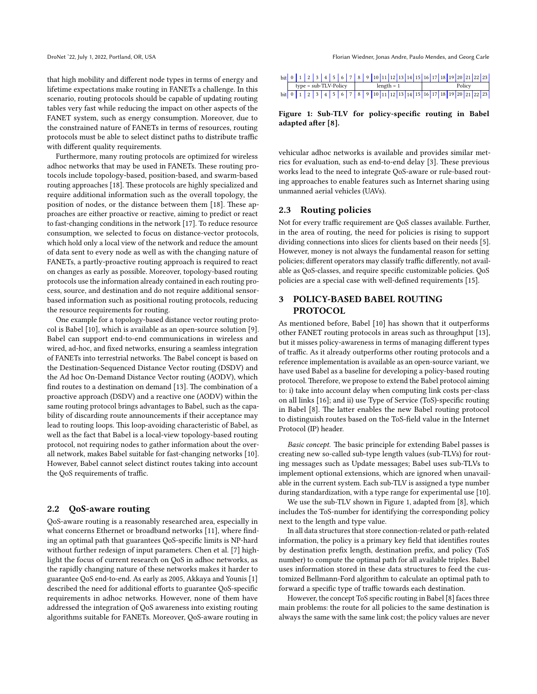that high mobility and different node types in terms of energy and lifetime expectations make routing in FANETs a challenge. In this scenario, routing protocols should be capable of updating routing tables very fast while reducing the impact on other aspects of the FANET system, such as energy consumption. Moreover, due to the constrained nature of FANETs in terms of resources, routing protocols must be able to select distinct paths to distribute traffic with different quality requirements.

Furthermore, many routing protocols are optimized for wireless adhoc networks that may be used in FANETs. These routing protocols include topology-based, position-based, and swarm-based routing approaches [\[18\]](#page-5-5). These protocols are highly specialized and require additional information such as the overall topology, the position of nodes, or the distance between them [\[18\]](#page-5-5). These approaches are either proactive or reactive, aiming to predict or react to fast-changing conditions in the network [\[17\]](#page-5-6). To reduce resource consumption, we selected to focus on distance-vector protocols, which hold only a local view of the network and reduce the amount of data sent to every node as well as with the changing nature of FANETs, a partly-proactive routing approach is required to react on changes as early as possible. Moreover, topology-based routing protocols use the information already contained in each routing process, source, and destination and do not require additional sensorbased information such as positional routing protocols, reducing the resource requirements for routing.

One example for a topology-based distance vector routing protocol is Babel [\[10\]](#page-5-1), which is available as an open-source solution [\[9\]](#page-5-7). Babel can support end-to-end communications in wireless and wired, ad-hoc, and fixed networks, ensuring a seamless integration of FANETs into terrestrial networks. The Babel concept is based on the Destination-Sequenced Distance Vector routing (DSDV) and the Ad hoc On-Demand Distance Vector routing (AODV), which find routes to a destination on demand [\[13\]](#page-5-8). The combination of a proactive approach (DSDV) and a reactive one (AODV) within the same routing protocol brings advantages to Babel, such as the capability of discarding route announcements if their acceptance may lead to routing loops. This loop-avoiding characteristic of Babel, as well as the fact that Babel is a local-view topology-based routing protocol, not requiring nodes to gather information about the overall network, makes Babel suitable for fast-changing networks [\[10\]](#page-5-1). However, Babel cannot select distinct routes taking into account the QoS requirements of traffic.

## 2.2 QoS-aware routing

QoS-aware routing is a reasonably researched area, especially in what concerns Ethernet or broadband networks [\[11\]](#page-5-9), where finding an optimal path that guarantees QoS-specific limits is NP-hard without further redesign of input parameters. Chen et al. [\[7\]](#page-5-10) highlight the focus of current research on QoS in adhoc networks, as the rapidly changing nature of these networks makes it harder to guarantee QoS end-to-end. As early as 2005, Akkaya and Younis [\[1\]](#page-5-11) described the need for additional efforts to guarantee QoS-specific requirements in adhoc networks. However, none of them have addressed the integration of QoS awareness into existing routing algorithms suitable for FANETs. Moreover, QoS-aware routing in

<span id="page-1-1"></span>

| bit 0 1 2 3 4 5 6 7 8 9 10 11 12 13 14 15 16 17 18 19 20 21 22 23 |                         |  |  |  |  |              |  |  |  |        |  |  |  |  |  |  |  |  |  |  |
|-------------------------------------------------------------------|-------------------------|--|--|--|--|--------------|--|--|--|--------|--|--|--|--|--|--|--|--|--|--|
|                                                                   | $type = sub-TLV-Policy$ |  |  |  |  | $leneth = 1$ |  |  |  | Policv |  |  |  |  |  |  |  |  |  |  |
| bit 0 1 2 3 4 5 6 7 8 9 10 11 12 13 14 15 16 17 18 19 20 21 22 23 |                         |  |  |  |  |              |  |  |  |        |  |  |  |  |  |  |  |  |  |  |

Figure 1: Sub-TLV for policy-specific routing in Babel adapted after [\[8\]](#page-5-12).

vehicular adhoc networks is available and provides similar metrics for evaluation, such as end-to-end delay [\[3\]](#page-5-13). These previous works lead to the need to integrate QoS-aware or rule-based routing approaches to enable features such as Internet sharing using unmanned aerial vehicles (UAVs).

### 2.3 Routing policies

Not for every traffic requirement are QoS classes available. Further, in the area of routing, the need for policies is rising to support dividing connections into slices for clients based on their needs [\[5\]](#page-5-14). However, money is not always the fundamental reason for setting policies; different operators may classify traffic differently, not available as QoS-classes, and require specific customizable policies. QoS policies are a special case with well-defined requirements [\[15\]](#page-5-15).

# <span id="page-1-0"></span>3 POLICY-BASED BABEL ROUTING PROTOCOL

As mentioned before, Babel [\[10\]](#page-5-1) has shown that it outperforms other FANET routing protocols in areas such as throughput [\[13\]](#page-5-8), but it misses policy-awareness in terms of managing different types of traffic. As it already outperforms other routing protocols and a reference implementation is available as an open-source variant, we have used Babel as a baseline for developing a policy-based routing protocol. Therefore, we propose to extend the Babel protocol aiming to: i) take into account delay when computing link costs per-class on all links [\[16\]](#page-5-16); and ii) use Type of Service (ToS)-specific routing in Babel [\[8\]](#page-5-12). The latter enables the new Babel routing protocol to distinguish routes based on the ToS-field value in the Internet Protocol (IP) header.

Basic concept. The basic principle for extending Babel passes is creating new so-called sub-type length values (sub-TLVs) for routing messages such as Update messages; Babel uses sub-TLVs to implement optional extensions, which are ignored when unavailable in the current system. Each sub-TLV is assigned a type number during standardization, with a type range for experimental use [\[10\]](#page-5-1).

We use the sub-TLV shown in Figure [1,](#page-1-1) adapted from [\[8\]](#page-5-12), which includes the ToS-number for identifying the corresponding policy next to the length and type value.

In all data structures that store connection-related or path-related information, the policy is a primary key field that identifies routes by destination prefix length, destination prefix, and policy (ToS number) to compute the optimal path for all available triples. Babel uses information stored in these data structures to feed the customized Bellmann-Ford algorithm to calculate an optimal path to forward a specific type of traffic towards each destination.

However, the concept ToS specific routing in Babel [\[8\]](#page-5-12) faces three main problems: the route for all policies to the same destination is always the same with the same link cost; the policy values are never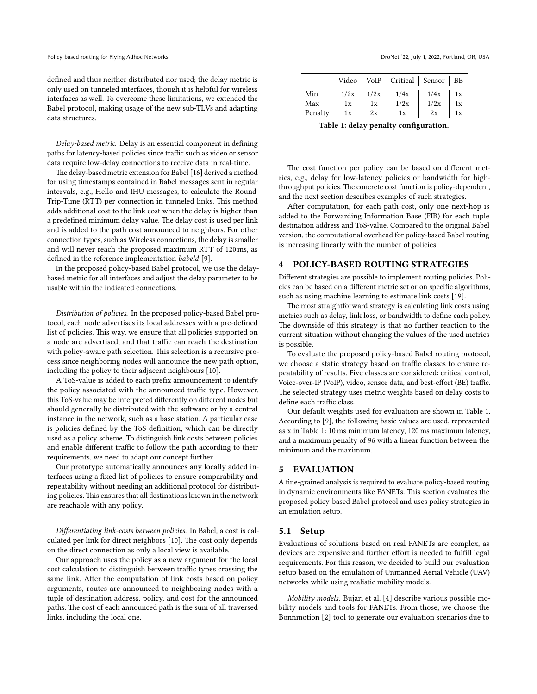defined and thus neither distributed nor used; the delay metric is only used on tunneled interfaces, though it is helpful for wireless interfaces as well. To overcome these limitations, we extended the Babel protocol, making usage of the new sub-TLVs and adapting data structures.

Delay-based metric. Delay is an essential component in defining paths for latency-based policies since traffic such as video or sensor data require low-delay connections to receive data in real-time.

The delay-based metric extension for Babel [\[16\]](#page-5-16) derived a method for using timestamps contained in Babel messages sent in regular intervals, e.g., Hello and IHU messages, to calculate the Round-Trip-Time (RTT) per connection in tunneled links. This method adds additional cost to the link cost when the delay is higher than a predefined minimum delay value. The delay cost is used per link and is added to the path cost announced to neighbors. For other connection types, such as Wireless connections, the delay is smaller and will never reach the proposed maximum RTT of 120 ms, as defined in the reference implementation babeld [\[9\]](#page-5-7).

In the proposed policy-based Babel protocol, we use the delaybased metric for all interfaces and adjust the delay parameter to be usable within the indicated connections.

Distribution of policies. In the proposed policy-based Babel protocol, each node advertises its local addresses with a pre-defined list of policies. This way, we ensure that all policies supported on a node are advertised, and that traffic can reach the destination with policy-aware path selection. This selection is a recursive process since neighboring nodes will announce the new path option, including the policy to their adjacent neighbours [\[10\]](#page-5-1).

A ToS-value is added to each prefix announcement to identify the policy associated with the announced traffic type. However, this ToS-value may be interpreted differently on different nodes but should generally be distributed with the software or by a central instance in the network, such as a base station. A particular case is policies defined by the ToS definition, which can be directly used as a policy scheme. To distinguish link costs between policies and enable different traffic to follow the path according to their requirements, we need to adapt our concept further.

Our prototype automatically announces any locally added interfaces using a fixed list of policies to ensure comparability and repeatability without needing an additional protocol for distributing policies. This ensures that all destinations known in the network are reachable with any policy.

Differentiating link-costs between policies. In Babel, a cost is calculated per link for direct neighbors [\[10\]](#page-5-1). The cost only depends on the direct connection as only a local view is available.

Our approach uses the policy as a new argument for the local cost calculation to distinguish between traffic types crossing the same link. After the computation of link costs based on policy arguments, routes are announced to neighboring nodes with a tuple of destination address, policy, and cost for the announced paths. The cost of each announced path is the sum of all traversed links, including the local one.

<span id="page-2-2"></span>

|         |      |      | Video   VoIP   Critical   Sensor   BE |      |    |
|---------|------|------|---------------------------------------|------|----|
| Min     | 1/2x | 1/2x | 1/4x                                  | 1/4x | 1x |
| Max     | 1x   | 1x   | 1/2x                                  | 1/2x | 1x |
| Penalty | 1x   | 2x   | 1x                                    | 2x   | 1x |

Table 1: delay penalty configuration.

The cost function per policy can be based on different metrics, e.g., delay for low-latency policies or bandwidth for highthroughput policies. The concrete cost function is policy-dependent, and the next section describes examples of such strategies.

After computation, for each path cost, only one next-hop is added to the Forwarding Information Base (FIB) for each tuple destination address and ToS-value. Compared to the original Babel version, the computational overhead for policy-based Babel routing is increasing linearly with the number of policies.

# <span id="page-2-0"></span>4 POLICY-BASED ROUTING STRATEGIES

Different strategies are possible to implement routing policies. Policies can be based on a different metric set or on specific algorithms, such as using machine learning to estimate link costs [\[19\]](#page-5-17).

The most straightforward strategy is calculating link costs using metrics such as delay, link loss, or bandwidth to define each policy. The downside of this strategy is that no further reaction to the current situation without changing the values of the used metrics is possible.

To evaluate the proposed policy-based Babel routing protocol, we choose a static strategy based on traffic classes to ensure repeatability of results. Five classes are considered: critical control, Voice-over-IP (VoIP), video, sensor data, and best-effort (BE) traffic. The selected strategy uses metric weights based on delay costs to define each traffic class.

Our default weights used for evaluation are shown in Table [1.](#page-2-2) According to [\[9\]](#page-5-7), the following basic values are used, represented as x in Table [1:](#page-2-2) 10 ms minimum latency, 120 ms maximum latency, and a maximum penalty of 96 with a linear function between the minimum and the maximum.

### <span id="page-2-1"></span>5 EVALUATION

A fine-grained analysis is required to evaluate policy-based routing in dynamic environments like FANETs. This section evaluates the proposed policy-based Babel protocol and uses policy strategies in an emulation setup.

### 5.1 Setup

Evaluations of solutions based on real FANETs are complex, as devices are expensive and further effort is needed to fulfill legal requirements. For this reason, we decided to build our evaluation setup based on the emulation of Unmanned Aerial Vehicle (UAV) networks while using realistic mobility models.

Mobility models. Bujari et al. [\[4\]](#page-5-18) describe various possible mobility models and tools for FANETs. From those, we choose the Bonnmotion [\[2\]](#page-5-19) tool to generate our evaluation scenarios due to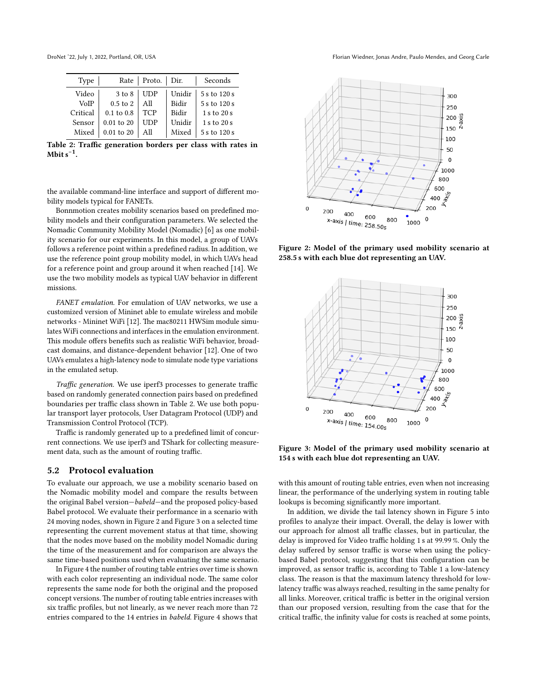<span id="page-3-0"></span>

DroNet '22, July 1, 2022, Portland, OR, USA Florian Wiedner, Jonas Andre, Paulo Mendes, and Georg Carle

| Type     | Rate                  | Proto.     | Dir.         | Seconds      |
|----------|-----------------------|------------|--------------|--------------|
| Video    | $3$ to $8$            | <b>UDP</b> | Unidir       | 5 s to 120 s |
| VoIP     | $0.5$ to $2$          | All        | <b>Bidir</b> | 5 s to 120 s |
| Critical | $0.1 \text{ to } 0.8$ | <b>TCP</b> | <b>Bidir</b> | 1 s to 20 s  |
| Sensor   | $0.01$ to $20$        | UDP        | Unidir       | 1 s to 20 s  |
| Mixed    | $0.01$ to $20$        | All        | Mixed        | 5 s to 120 s |

Table 2: Traffic generation borders per class with rates in Mbit s<sup>-1</sup>.

the available command-line interface and support of different mobility models typical for FANETs.

Bonnmotion creates mobility scenarios based on predefined mobility models and their configuration parameters. We selected the Nomadic Community Mobility Model (Nomadic) [\[6\]](#page-5-20) as one mobility scenario for our experiments. In this model, a group of UAVs follows a reference point within a predefined radius. In addition, we use the reference point group mobility model, in which UAVs head for a reference point and group around it when reached [\[14\]](#page-5-21). We use the two mobility models as typical UAV behavior in different missions.

FANET emulation. For emulation of UAV networks, we use a customized version of Mininet able to emulate wireless and mobile networks - Mininet WiFi [\[12\]](#page-5-22). The mac80211 HWSim module simulates WiFi connections and interfaces in the emulation environment. This module offers benefits such as realistic WiFi behavior, broadcast domains, and distance-dependent behavior [\[12\]](#page-5-22). One of two UAVs emulates a high-latency node to simulate node type variations in the emulated setup.

Traffic generation. We use iperf3 processes to generate traffic based on randomly generated connection pairs based on predefined boundaries per traffic class shown in Table [2.](#page-3-0) We use both popular transport layer protocols, User Datagram Protocol (UDP) and Transmission Control Protocol (TCP).

Traffic is randomly generated up to a predefined limit of concurrent connections. We use iperf3 and TShark for collecting measurement data, such as the amount of routing traffic.

### 5.2 Protocol evaluation

To evaluate our approach, we use a mobility scenario based on the Nomadic mobility model and compare the results between the original Babel version—babeld—and the proposed policy-based Babel protocol. We evaluate their performance in a scenario with 24 moving nodes, shown in Figure [2](#page-3-1) and Figure [3](#page-3-2) on a selected time representing the current movement status at that time, showing that the nodes move based on the mobility model Nomadic during the time of the measurement and for comparison are always the same time-based positions used when evaluating the same scenario.

In Figure [4](#page-4-0) the number of routing table entries over time is shown with each color representing an individual node. The same color represents the same node for both the original and the proposed concept versions. The number of routing table entries increases with six traffic profiles, but not linearly, as we never reach more than 72 entries compared to the 14 entries in babeld. Figure [4](#page-4-0) shows that

<span id="page-3-1"></span>

Figure 2: Model of the primary used mobility scenario at 258.5 s with each blue dot representing an UAV.

<span id="page-3-2"></span>

Figure 3: Model of the primary used mobility scenario at 154 s with each blue dot representing an UAV.

with this amount of routing table entries, even when not increasing linear, the performance of the underlying system in routing table lookups is becoming significantly more important.

In addition, we divide the tail latency shown in Figure [5](#page-4-1) into profiles to analyze their impact. Overall, the delay is lower with our approach for almost all traffic classes, but in particular, the delay is improved for Video traffic holding 1 s at 99.99 %. Only the delay suffered by sensor traffic is worse when using the policybased Babel protocol, suggesting that this configuration can be improved, as sensor traffic is, according to Table [1](#page-2-2) a low-latency class. The reason is that the maximum latency threshold for lowlatency traffic was always reached, resulting in the same penalty for all links. Moreover, critical traffic is better in the original version than our proposed version, resulting from the case that for the critical traffic, the infinity value for costs is reached at some points,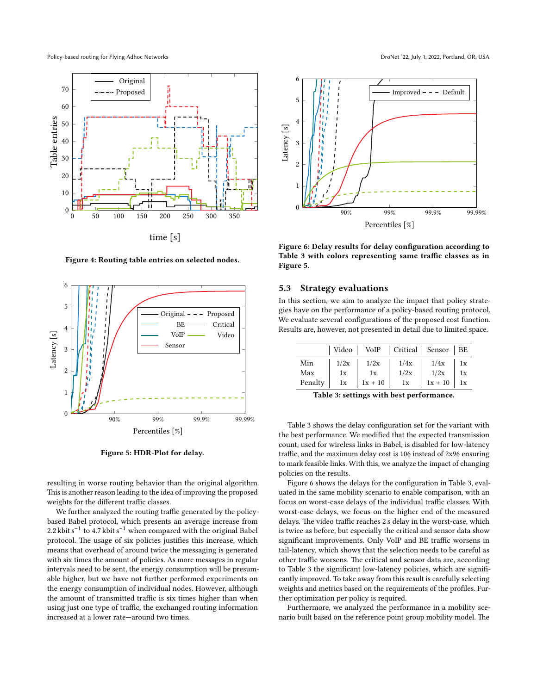<span id="page-4-0"></span>

Figure 4: Routing table entries on selected nodes.

<span id="page-4-1"></span>

Figure 5: HDR-Plot for delay.

resulting in worse routing behavior than the original algorithm. This is another reason leading to the idea of improving the proposed weights for the different traffic classes.

We further analyzed the routing traffic generated by the policybased Babel protocol, which presents an average increase from 2.2 kbit s<sup>-1</sup> to 4.7 kbit s<sup>-1</sup> when compared with the original Babel protocol. The usage of six policies justifies this increase, which means that overhead of around twice the messaging is generated with six times the amount of policies. As more messages in regular intervals need to be sent, the energy consumption will be presumable higher, but we have not further performed experiments on the energy consumption of individual nodes. However, although the amount of transmitted traffic is six times higher than when using just one type of traffic, the exchanged routing information increased at a lower rate—around two times.

<span id="page-4-3"></span>

Figure 6: Delay results for delay configuration according to Table [3](#page-4-2) with colors representing same traffic classes as in Figure [5.](#page-4-1)

### 5.3 Strategy evaluations

In this section, we aim to analyze the impact that policy strategies have on the performance of a policy-based routing protocol. We evaluate several configurations of the proposed cost function. Results are, however, not presented in detail due to limited space.

<span id="page-4-2"></span>

|         | Video |           | VoIP   Critical   Sensor   BE |           |    |
|---------|-------|-----------|-------------------------------|-----------|----|
| Min     | 1/2x  | 1/2x      | 1/4x                          | 1/4x      | 1x |
| Max     | 1x    | 1x        | 1/2x                          | 1/2x      | 1x |
| Penalty | 1x    | $1x + 10$ | 1x                            | $1x + 10$ | 1x |

Table 3: settings with best performance.

Table [3](#page-4-2) shows the delay configuration set for the variant with the best performance. We modified that the expected transmission count, used for wireless links in Babel, is disabled for low-latency traffic, and the maximum delay cost is 106 instead of 2x96 ensuring to mark feasible links. With this, we analyze the impact of changing policies on the results.

Figure [6](#page-4-3) shows the delays for the configuration in Table [3,](#page-4-2) evaluated in the same mobility scenario to enable comparison, with an focus on worst-case delays of the individual traffic classes. With worst-case delays, we focus on the higher end of the measured delays. The video traffic reaches 2 s delay in the worst-case, which is twice as before, but especially the critical and sensor data show significant improvements. Only VoIP and BE traffic worsens in tail-latency, which shows that the selection needs to be careful as other traffic worsens. The critical and sensor data are, according to Table [3](#page-4-2) the significant low-latency policies, which are significantly improved. To take away from this result is carefully selecting weights and metrics based on the requirements of the profiles. Further optimization per policy is required.

Furthermore, we analyzed the performance in a mobility scenario built based on the reference point group mobility model. The